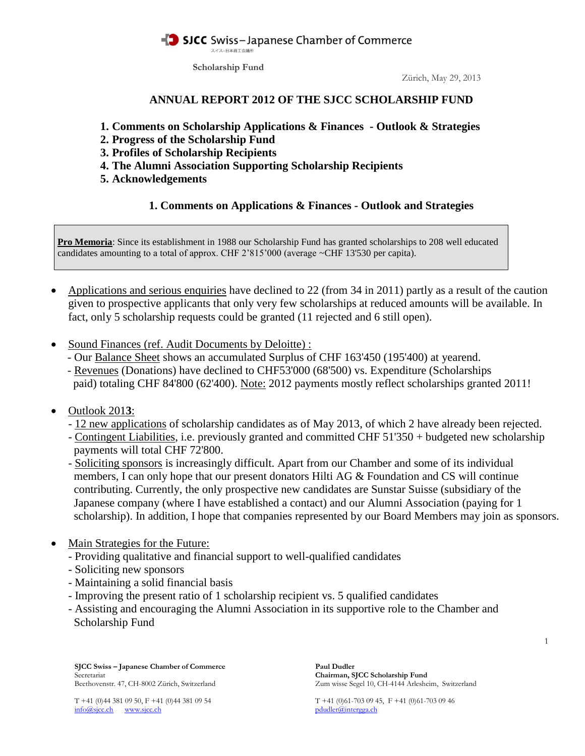**Scholarship Fund**

Zürich, May 29, 2013

## **ANNUAL REPORT 2012 OF THE SJCC SCHOLARSHIP FUND**

- **1. Comments on Scholarship Applications & Finances - Outlook & Strategies**
- **2. Progress of the Scholarship Fund**
- **3. Profiles of Scholarship Recipients**
- **4. The Alumni Association Supporting Scholarship Recipients**
- **5. Acknowledgements**

# **1. Comments on Applications & Finances - Outlook and Strategies**

**Pro Memoria**: Since its establishment in 1988 our Scholarship Fund has granted scholarships to 208 well educated candidates amounting to a total of approx. CHF 2'815'000 (average ~CHF 13'530 per capita).

- Applications and serious enquiries have declined to 22 (from 34 in 2011) partly as a result of the caution given to prospective applicants that only very few scholarships at reduced amounts will be available. In fact, only 5 scholarship requests could be granted (11 rejected and 6 still open).
- Sound Finances (ref. Audit Documents by Deloitte) :
	- Our Balance Sheet shows an accumulated Surplus of CHF 163'450 (195'400) at yearend.
	- Revenues (Donations) have declined to CHF53'000 (68'500) vs. Expenditure (Scholarships paid) totaling CHF 84'800 (62'400). Note: 2012 payments mostly reflect scholarships granted 2011!
- Outlook 201**3**:
	- 12 new applications of scholarship candidates as of May 2013, of which 2 have already been rejected.
	- Contingent Liabilities, i.e. previously granted and committed CHF 51'350 + budgeted new scholarship payments will total CHF 72'800.
	- Soliciting sponsors is increasingly difficult. Apart from our Chamber and some of its individual members, I can only hope that our present donators Hilti AG  $\&$  Foundation and CS will continue contributing. Currently, the only prospective new candidates are Sunstar Suisse (subsidiary of the Japanese company (where I have established a contact) and our Alumni Association (paying for 1 scholarship). In addition, I hope that companies represented by our Board Members may join as sponsors.
- Main Strategies for the Future:
	- Providing qualitative and financial support to well-qualified candidates
	- Soliciting new sponsors
	- Maintaining a solid financial basis
	- Improving the present ratio of 1 scholarship recipient vs. 5 qualified candidates
	- Assisting and encouraging the Alumni Association in its supportive role to the Chamber and Scholarship Fund

**SJCC Swiss – Japanese Chamber of Commerce Paul Dudler** Secretariat **Chairman, SJCC Scholarship Fund**

Beethovenstr. 47, CH-8002 Zürich, Switzerland Zum wisse Segel 10, CH-4144 Arlesheim, Switzerland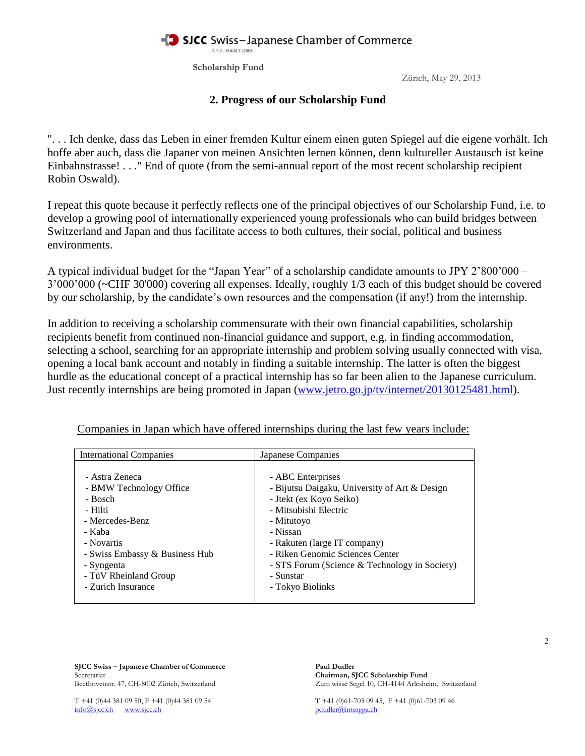**Scholarship Fund**

Zürich, May 29, 2013

## **2. Progress of our Scholarship Fund**

". . . Ich denke, dass das Leben in einer fremden Kultur einem einen guten Spiegel auf die eigene vorhält. Ich hoffe aber auch, dass die Japaner von meinen Ansichten lernen können, denn kultureller Austausch ist keine Einbahnstrasse! . . ." End of quote (from the semi-annual report of the most recent scholarship recipient Robin Oswald).

I repeat this quote because it perfectly reflects one of the principal objectives of our Scholarship Fund, i.e. to develop a growing pool of internationally experienced young professionals who can build bridges between Switzerland and Japan and thus facilitate access to both cultures, their social, political and business environments.

A typical individual budget for the "Japan Year" of a scholarship candidate amounts to JPY 2'800'000 – 3'000'000 (~CHF 30'000) covering all expenses. Ideally, roughly 1/3 each of this budget should be covered by our scholarship, by the candidate's own resources and the compensation (if any!) from the internship.

In addition to receiving a scholarship commensurate with their own financial capabilities, scholarship recipients benefit from continued non-financial guidance and support, e.g. in finding accommodation, selecting a school, searching for an appropriate internship and problem solving usually connected with visa, opening a local bank account and notably in finding a suitable internship. The latter is often the biggest hurdle as the educational concept of a practical internship has so far been alien to the Japanese curriculum. Just recently internships are being promoted in Japan [\(www.jetro.go.jp/tv/internet/20130125481.html\)](http://www.jetro.go.jp/tv/internet/20130125481.html).

| <b>International Companies</b> | Japanese Companies                            |
|--------------------------------|-----------------------------------------------|
| - Astra Zeneca                 | - ABC Enterprises                             |
| - BMW Technology Office        | - Bijutsu Daigaku, University of Art & Design |
| - Bosch                        | - Jtekt (ex Koyo Seiko)                       |
| - Hilti                        | - Mitsubishi Electric                         |
| - Mercedes-Benz                | - Mitutovo                                    |
| - Kaba                         | - Nissan                                      |
| - Novartis                     | - Rakuten (large IT company)                  |
| - Swiss Embassy & Business Hub | - Riken Genomic Sciences Center               |
| - Syngenta                     | - STS Forum (Science & Technology in Society) |
| - TüV Rheinland Group          | - Sunstar                                     |
| - Zurich Insurance             | - Tokyo Biolinks                              |

Companies in Japan which have offered internships during the last few years include:

**SJCC Swiss – Japanese Chamber of Commerce** Paul Dudler<br>Secretariat Chairman. S Beethovenstr. 47, CH-8002 Zürich, Switzerland Zum wisse Segel 10, CH-4144 Arlesheim, Switzerland

Chairman, SJCC Scholarship Fund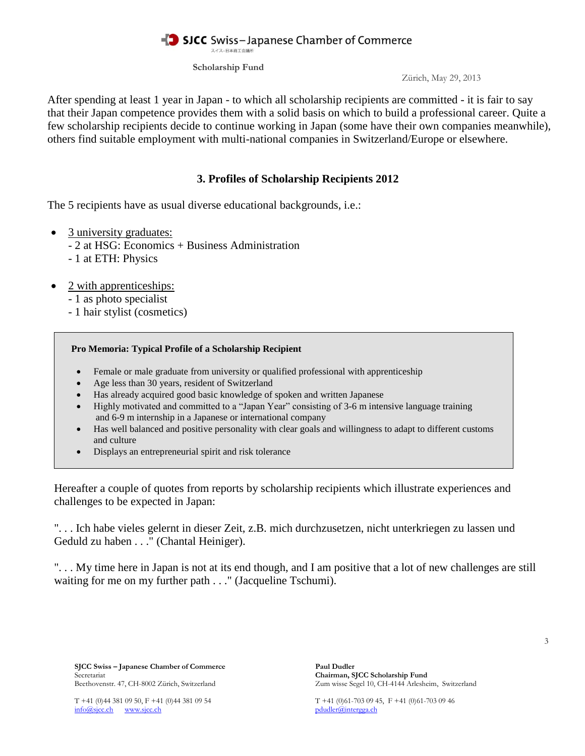**Scholarship Fund**

Zürich, May 29, 2013

After spending at least 1 year in Japan - to which all scholarship recipients are committed - it is fair to say that their Japan competence provides them with a solid basis on which to build a professional career. Quite a few scholarship recipients decide to continue working in Japan (some have their own companies meanwhile), others find suitable employment with multi-national companies in Switzerland/Europe or elsewhere.

# **3. Profiles of Scholarship Recipients 2012**

The 5 recipients have as usual diverse educational backgrounds, i.e.:

- 3 university graduates:
	- 2 at HSG: Economics + Business Administration
	- 1 at ETH: Physics
- 2 with apprenticeships:
	- 1 as photo specialist
	- 1 hair stylist (cosmetics)

### **Pro Memoria: Typical Profile of a Scholarship Recipient**

- Female or male graduate from university or qualified professional with apprenticeship
- Age less than 30 years, resident of Switzerland
- Has already acquired good basic knowledge of spoken and written Japanese
- Highly motivated and committed to a "Japan Year" consisting of 3-6 m intensive language training and 6-9 m internship in a Japanese or international company
- Has well balanced and positive personality with clear goals and willingness to adapt to different customs and culture
- Displays an entrepreneurial spirit and risk tolerance

Hereafter a couple of quotes from reports by scholarship recipients which illustrate experiences and challenges to be expected in Japan:

". . . Ich habe vieles gelernt in dieser Zeit, z.B. mich durchzusetzen, nicht unterkriegen zu lassen und Geduld zu haben . . ." (Chantal Heiniger).

". . . My time here in Japan is not at its end though, and I am positive that a lot of new challenges are still waiting for me on my further path . . ." (Jacqueline Tschumi).

**SJCC Swiss – Japanese Chamber of Commerce Paul Dudler** Secretariat **Chairman, SJCC Scholarship Fund**

Beethovenstr. 47, CH-8002 Zürich, Switzerland Zum wisse Segel 10, CH-4144 Arlesheim, Switzerland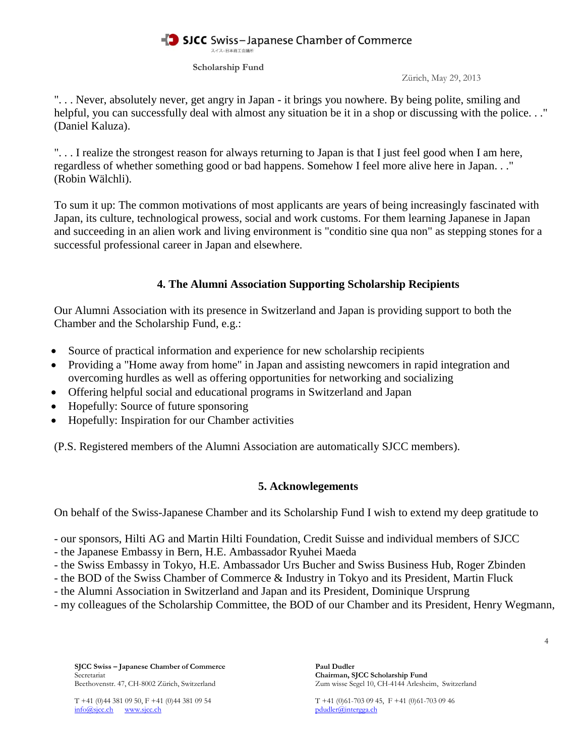**Scholarship Fund**

Zürich, May 29, 2013

". . . Never, absolutely never, get angry in Japan - it brings you nowhere. By being polite, smiling and helpful, you can successfully deal with almost any situation be it in a shop or discussing with the police..." (Daniel Kaluza).

". . . I realize the strongest reason for always returning to Japan is that I just feel good when I am here, regardless of whether something good or bad happens. Somehow I feel more alive here in Japan. . ." (Robin Wälchli).

To sum it up: The common motivations of most applicants are years of being increasingly fascinated with Japan, its culture, technological prowess, social and work customs. For them learning Japanese in Japan and succeeding in an alien work and living environment is "conditio sine qua non" as stepping stones for a successful professional career in Japan and elsewhere.

# **4. The Alumni Association Supporting Scholarship Recipients**

Our Alumni Association with its presence in Switzerland and Japan is providing support to both the Chamber and the Scholarship Fund, e.g.:

- Source of practical information and experience for new scholarship recipients
- Providing a "Home away from home" in Japan and assisting newcomers in rapid integration and overcoming hurdles as well as offering opportunities for networking and socializing
- Offering helpful social and educational programs in Switzerland and Japan
- Hopefully: Source of future sponsoring
- Hopefully: Inspiration for our Chamber activities

(P.S. Registered members of the Alumni Association are automatically SJCC members).

## **5. Acknowlegements**

On behalf of the Swiss-Japanese Chamber and its Scholarship Fund I wish to extend my deep gratitude to

- our sponsors, Hilti AG and Martin Hilti Foundation, Credit Suisse and individual members of SJCC
- the Japanese Embassy in Bern, H.E. Ambassador Ryuhei Maeda
- the Swiss Embassy in Tokyo, H.E. Ambassador Urs Bucher and Swiss Business Hub, Roger Zbinden
- the BOD of the Swiss Chamber of Commerce & Industry in Tokyo and its President, Martin Fluck
- the Alumni Association in Switzerland and Japan and its President, Dominique Ursprung
- my colleagues of the Scholarship Committee, the BOD of our Chamber and its President, Henry Wegmann,

**SJCC Swiss – Japanese Chamber of Commerce Paul Dudler** Secretariat **Chairman, SJCC Scholarship Fund**

info@sjcc.ch www.sjcc.ch pdudler@intergga.ch pdudler@intergga.ch

Beethovenstr. 47, CH-8002 Zürich, Switzerland Zum wisse Segel 10, CH-4144 Arlesheim, Switzerland